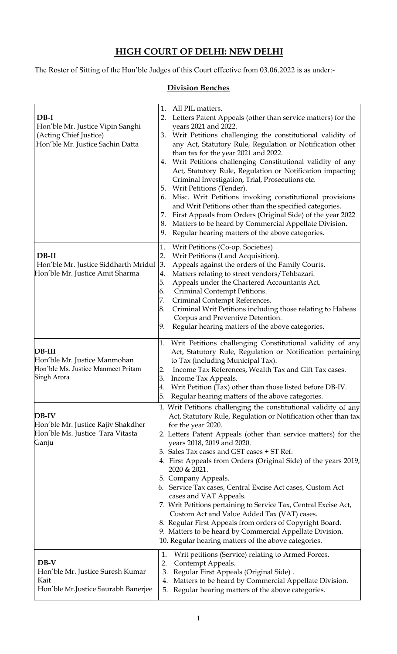# **HIGH COURT OF DELHI: NEW DELHI**

The Roster of Sitting of the Hon'ble Judges of this Court effective from 03.06.2022 is as under:-

### **Division Benches**

| $DB-I$<br>Hon'ble Mr. Justice Vipin Sanghi<br>(Acting Chief Justice)<br>Hon'ble Mr. Justice Sachin Datta | 1.<br>All PIL matters.<br>Letters Patent Appeals (other than service matters) for the<br>2.<br>years 2021 and 2022.<br>Writ Petitions challenging the constitutional validity of<br>3.<br>any Act, Statutory Rule, Regulation or Notification other<br>than tax for the year 2021 and 2022.<br>Writ Petitions challenging Constitutional validity of any<br>4.<br>Act, Statutory Rule, Regulation or Notification impacting<br>Criminal Investigation, Trial, Prosecutions etc.<br>Writ Petitions (Tender).<br>5.<br>Misc. Writ Petitions invoking constitutional provisions<br>6.<br>and Writ Petitions other than the specified categories.<br>First Appeals from Orders (Original Side) of the year 2022<br>7.<br>Matters to be heard by Commercial Appellate Division.<br>8.<br>Regular hearing matters of the above categories.<br>9. |
|----------------------------------------------------------------------------------------------------------|--------------------------------------------------------------------------------------------------------------------------------------------------------------------------------------------------------------------------------------------------------------------------------------------------------------------------------------------------------------------------------------------------------------------------------------------------------------------------------------------------------------------------------------------------------------------------------------------------------------------------------------------------------------------------------------------------------------------------------------------------------------------------------------------------------------------------------------------|
| $DB-II$<br>Hon'ble Mr. Justice Siddharth Mridul<br>Hon'ble Mr. Justice Amit Sharma                       | Writ Petitions (Co-op. Societies)<br>1.<br>2.<br>Writ Petitions (Land Acquisition).<br>Appeals against the orders of the Family Courts.<br>3.<br>Matters relating to street vendors/Tehbazari.<br>4.<br>Appeals under the Chartered Accountants Act.<br>5.<br>Criminal Contempt Petitions.<br>6.<br>Criminal Contempt References.<br>7.<br>Criminal Writ Petitions including those relating to Habeas<br>8.<br>Corpus and Preventive Detention.<br>9.<br>Regular hearing matters of the above categories.                                                                                                                                                                                                                                                                                                                                  |
| DB-III<br>Hon'ble Mr. Justice Manmohan<br>Hon'ble Ms. Justice Manmeet Pritam<br>Singh Arora              | 1. Writ Petitions challenging Constitutional validity of any<br>Act, Statutory Rule, Regulation or Notification pertaining<br>to Tax (including Municipal Tax).<br>Income Tax References, Wealth Tax and Gift Tax cases.<br>2.<br>3.<br>Income Tax Appeals.<br>Writ Petition (Tax) other than those listed before DB-IV.<br>4.<br>5. Regular hearing matters of the above categories.                                                                                                                                                                                                                                                                                                                                                                                                                                                      |
| DB-IV<br>Hon'ble Mr. Justice Rajiv Shakdher<br>Hon'ble Ms. Justice Tara Vitasta<br>Ganju                 | 1. Writ Petitions challenging the constitutional validity of any<br>Act, Statutory Rule, Regulation or Notification other than tax<br>for the year 2020.<br>2. Letters Patent Appeals (other than service matters) for the<br>years 2018, 2019 and 2020.<br>3. Sales Tax cases and GST cases + ST Ref.<br>4. First Appeals from Orders (Original Side) of the years 2019,<br>2020 & 2021.<br>5. Company Appeals.<br>6. Service Tax cases, Central Excise Act cases, Custom Act<br>cases and VAT Appeals.<br>7. Writ Petitions pertaining to Service Tax, Central Excise Act,<br>Custom Act and Value Added Tax (VAT) cases.<br>8. Regular First Appeals from orders of Copyright Board.<br>9. Matters to be heard by Commercial Appellate Division.<br>10. Regular hearing matters of the above categories.                                |
| $DB-V$<br>Hon'ble Mr. Justice Suresh Kumar<br>Kait<br>Hon'ble Mr.Justice Saurabh Banerjee                | Writ petitions (Service) relating to Armed Forces.<br>1.<br>2.<br>Contempt Appeals.<br>Regular First Appeals (Original Side).<br>3.<br>Matters to be heard by Commercial Appellate Division.<br>4.<br>Regular hearing matters of the above categories.<br>5.                                                                                                                                                                                                                                                                                                                                                                                                                                                                                                                                                                               |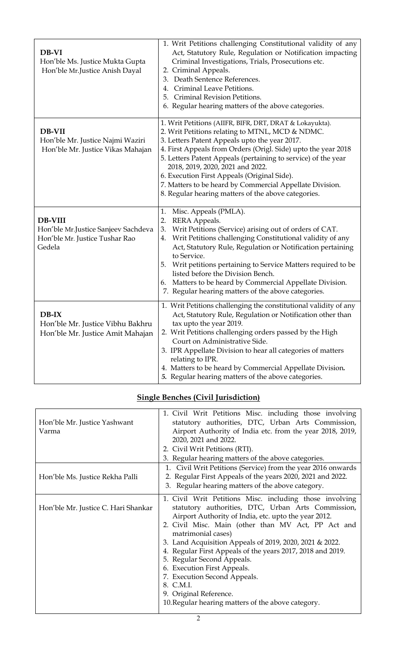| DB-VI<br>Hon'ble Ms. Justice Mukta Gupta<br>Hon'ble Mr.Justice Anish Dayal                        | 1. Writ Petitions challenging Constitutional validity of any<br>Act, Statutory Rule, Regulation or Notification impacting<br>Criminal Investigations, Trials, Prosecutions etc.<br>2. Criminal Appeals.<br>Death Sentence References.<br>3.<br>Criminal Leave Petitions.<br>4.<br>Criminal Revision Petitions.<br>5.<br>6. Regular hearing matters of the above categories.                                                                                                                               |
|---------------------------------------------------------------------------------------------------|-----------------------------------------------------------------------------------------------------------------------------------------------------------------------------------------------------------------------------------------------------------------------------------------------------------------------------------------------------------------------------------------------------------------------------------------------------------------------------------------------------------|
| DB-VII<br>Hon'ble Mr. Justice Najmi Waziri<br>Hon'ble Mr. Justice Vikas Mahajan                   | 1. Writ Petitions (AIIFR, BIFR, DRT, DRAT & Lokayukta).<br>2. Writ Petitions relating to MTNL, MCD & NDMC.<br>3. Letters Patent Appeals upto the year 2017.<br>4. First Appeals from Orders (Origl. Side) upto the year 2018<br>5. Letters Patent Appeals (pertaining to service) of the year<br>2018, 2019, 2020, 2021 and 2022.<br>6. Execution First Appeals (Original Side).<br>7. Matters to be heard by Commercial Appellate Division.<br>8. Regular hearing matters of the above categories.       |
| <b>DB-VIII</b><br>Hon'ble Mr.Justice Sanjeev Sachdeva<br>Hon'ble Mr. Justice Tushar Rao<br>Gedela | Misc. Appeals (PMLA).<br>1.<br><b>RERA Appeals.</b><br>2.<br>Writ Petitions (Service) arising out of orders of CAT.<br>3.<br>Writ Petitions challenging Constitutional validity of any<br>4.<br>Act, Statutory Rule, Regulation or Notification pertaining<br>to Service.<br>Writ petitions pertaining to Service Matters required to be<br>5.<br>listed before the Division Bench.<br>Matters to be heard by Commercial Appellate Division.<br>6.<br>7. Regular hearing matters of the above categories. |
| $DB-IX$<br>Hon'ble Mr. Justice Vibhu Bakhru<br>Hon'ble Mr. Justice Amit Mahajan                   | 1. Writ Petitions challenging the constitutional validity of any<br>Act, Statutory Rule, Regulation or Notification other than<br>tax upto the year 2019.<br>2. Writ Petitions challenging orders passed by the High<br>Court on Administrative Side.<br>3. IPR Appellate Division to hear all categories of matters<br>relating to IPR.<br>4. Matters to be heard by Commercial Appellate Division.<br>5. Regular hearing matters of the above categories.                                               |

## **Single Benches (Civil Jurisdiction)**

| Hon'ble Mr. Justice Yashwant<br>Varma | 1. Civil Writ Petitions Misc. including those involving<br>statutory authorities, DTC, Urban Arts Commission,<br>Airport Authority of India etc. from the year 2018, 2019,<br>2020, 2021 and 2022.<br>2. Civil Writ Petitions (RTI).<br>3. Regular hearing matters of the above categories.                                                                                                                                                                                                                                                                          |
|---------------------------------------|----------------------------------------------------------------------------------------------------------------------------------------------------------------------------------------------------------------------------------------------------------------------------------------------------------------------------------------------------------------------------------------------------------------------------------------------------------------------------------------------------------------------------------------------------------------------|
| Hon'ble Ms. Justice Rekha Palli       | 1. Civil Writ Petitions (Service) from the year 2016 onwards<br>2. Regular First Appeals of the years 2020, 2021 and 2022.<br>3. Regular hearing matters of the above category.                                                                                                                                                                                                                                                                                                                                                                                      |
| Hon'ble Mr. Justice C. Hari Shankar   | 1. Civil Writ Petitions Misc. including those involving<br>statutory authorities, DTC, Urban Arts Commission,<br>Airport Authority of India, etc. upto the year 2012.<br>2. Civil Misc. Main (other than MV Act, PP Act and<br>matrimonial cases)<br>3. Land Acquisition Appeals of 2019, 2020, 2021 & 2022.<br>4. Regular First Appeals of the years 2017, 2018 and 2019.<br>5. Regular Second Appeals.<br>6. Execution First Appeals.<br>7. Execution Second Appeals.<br>8. C.M.I.<br>9. Original Reference.<br>10. Regular hearing matters of the above category. |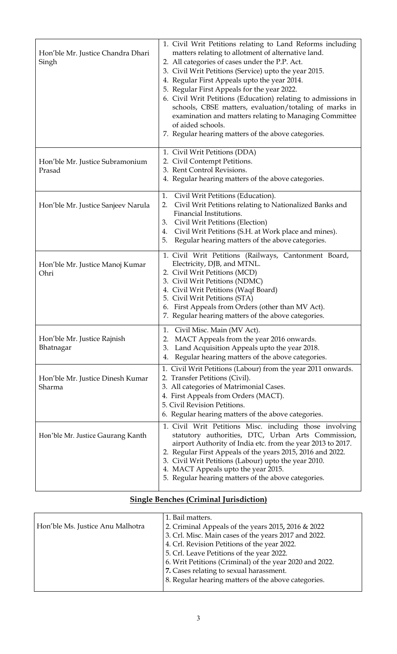| Hon'ble Mr. Justice Chandra Dhari<br>Singh | 1. Civil Writ Petitions relating to Land Reforms including<br>matters relating to allotment of alternative land.<br>2. All categories of cases under the P.P. Act.<br>3. Civil Writ Petitions (Service) upto the year 2015.<br>4. Regular First Appeals upto the year 2014.<br>5. Regular First Appeals for the year 2022.<br>6. Civil Writ Petitions (Education) relating to admissions in<br>schools, CBSE matters, evaluation/totaling of marks in<br>examination and matters relating to Managing Committee<br>of aided schools.<br>7. Regular hearing matters of the above categories. |
|--------------------------------------------|---------------------------------------------------------------------------------------------------------------------------------------------------------------------------------------------------------------------------------------------------------------------------------------------------------------------------------------------------------------------------------------------------------------------------------------------------------------------------------------------------------------------------------------------------------------------------------------------|
| Hon'ble Mr. Justice Subramonium<br>Prasad  | 1. Civil Writ Petitions (DDA)<br>2. Civil Contempt Petitions.<br>3. Rent Control Revisions.<br>4. Regular hearing matters of the above categories.                                                                                                                                                                                                                                                                                                                                                                                                                                          |
| Hon'ble Mr. Justice Sanjeev Narula         | Civil Writ Petitions (Education).<br>1.<br>Civil Writ Petitions relating to Nationalized Banks and<br>2.<br>Financial Institutions.<br>Civil Writ Petitions (Election)<br>3.<br>Civil Writ Petitions (S.H. at Work place and mines).<br>4.<br>Regular hearing matters of the above categories.<br>5.                                                                                                                                                                                                                                                                                        |
| Hon'ble Mr. Justice Manoj Kumar<br>Ohri    | 1. Civil Writ Petitions (Railways, Cantonment Board,<br>Electricity, DJB, and MTNL.<br>2. Civil Writ Petitions (MCD)<br>3. Civil Writ Petitions (NDMC)<br>4. Civil Writ Petitions (Waqf Board)<br>5. Civil Writ Petitions (STA)<br>6. First Appeals from Orders (other than MV Act).<br>7. Regular hearing matters of the above categories.                                                                                                                                                                                                                                                 |
| Hon'ble Mr. Justice Rajnish<br>Bhatnagar   | 1. Civil Misc. Main (MV Act).<br>MACT Appeals from the year 2016 onwards.<br>2.<br>Land Acquisition Appeals upto the year 2018.<br>3.<br>Regular hearing matters of the above categories.<br>4.                                                                                                                                                                                                                                                                                                                                                                                             |
| Hon'ble Mr. Justice Dinesh Kumar<br>Sharma | 1. Civil Writ Petitions (Labour) from the year 2011 onwards.<br>2. Transfer Petitions (Civil).<br>3. All categories of Matrimonial Cases.<br>4. First Appeals from Orders (MACT).<br>5. Civil Revision Petitions.<br>6. Regular hearing matters of the above categories.                                                                                                                                                                                                                                                                                                                    |
| Hon'ble Mr. Justice Gaurang Kanth          | 1. Civil Writ Petitions Misc. including those involving<br>statutory authorities, DTC, Urban Arts Commission,<br>airport Authority of India etc. from the year 2013 to 2017.<br>2. Regular First Appeals of the years 2015, 2016 and 2022.<br>3. Civil Writ Petitions (Labour) upto the year 2010.<br>4. MACT Appeals upto the year 2015.<br>5. Regular hearing matters of the above categories.                                                                                                                                                                                            |

# **Single Benches (Criminal Jurisdiction)**

|                                  | 1. Bail matters.                                         |
|----------------------------------|----------------------------------------------------------|
| Hon'ble Ms. Justice Anu Malhotra | 2. Criminal Appeals of the years $2015$ , $2016 \& 2022$ |
|                                  | 3. Crl. Misc. Main cases of the years 2017 and 2022.     |
|                                  | 4. Crl. Revision Petitions of the year 2022.             |
|                                  | 5. Crl. Leave Petitions of the year 2022.                |
|                                  | 6. Writ Petitions (Criminal) of the year 2020 and 2022.  |
|                                  | 7. Cases relating to sexual harassment.                  |
|                                  | 8. Regular hearing matters of the above categories.      |
|                                  |                                                          |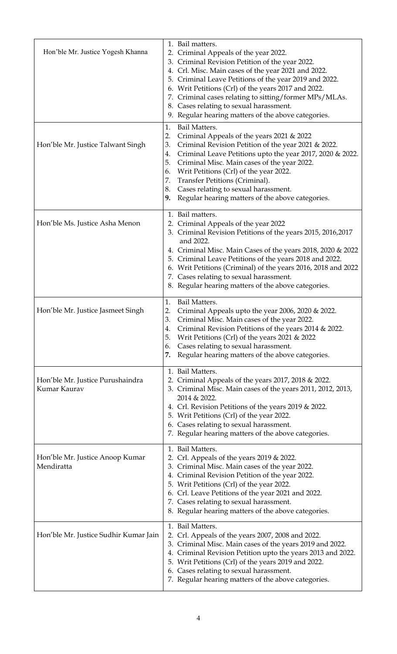| Hon'ble Mr. Justice Yogesh Khanna<br>Hon'ble Mr. Justice Talwant Singh | 1. Bail matters.<br>2. Criminal Appeals of the year 2022.<br>3. Criminal Revision Petition of the year 2022.<br>4. Crl. Misc. Main cases of the year 2021 and 2022.<br>5. Criminal Leave Petitions of the year 2019 and 2022.<br>6. Writ Petitions (Crl) of the years 2017 and 2022.<br>7. Criminal cases relating to sitting/former MPs/MLAs.<br>8. Cases relating to sexual harassment.<br>9. Regular hearing matters of the above categories.<br>1.<br><b>Bail Matters.</b><br>2.<br>Criminal Appeals of the years 2021 & 2022<br>Criminal Revision Petition of the year 2021 & 2022.<br>3.<br>Criminal Leave Petitions upto the year 2017, 2020 & 2022.<br>4.<br>Criminal Misc. Main cases of the year 2022.<br>5.<br>Writ Petitions (Crl) of the year 2022.<br>6. |
|------------------------------------------------------------------------|------------------------------------------------------------------------------------------------------------------------------------------------------------------------------------------------------------------------------------------------------------------------------------------------------------------------------------------------------------------------------------------------------------------------------------------------------------------------------------------------------------------------------------------------------------------------------------------------------------------------------------------------------------------------------------------------------------------------------------------------------------------------|
|                                                                        | Transfer Petitions (Criminal).<br>7.<br>Cases relating to sexual harassment.<br>8.<br>Regular hearing matters of the above categories.<br>9.                                                                                                                                                                                                                                                                                                                                                                                                                                                                                                                                                                                                                           |
| Hon'ble Ms. Justice Asha Menon                                         | 1. Bail matters.<br>2. Criminal Appeals of the year 2022<br>3. Criminal Revision Petitions of the years 2015, 2016, 2017<br>and 2022.<br>4. Criminal Misc. Main Cases of the years 2018, 2020 & 2022<br>5. Criminal Leave Petitions of the years 2018 and 2022.<br>6. Writ Petitions (Criminal) of the years 2016, 2018 and 2022<br>7. Cases relating to sexual harassment.<br>8. Regular hearing matters of the above categories.                                                                                                                                                                                                                                                                                                                                     |
| Hon'ble Mr. Justice Jasmeet Singh                                      | 1.<br>Bail Matters.<br>2.<br>Criminal Appeals upto the year 2006, 2020 & 2022.<br>Criminal Misc. Main cases of the year 2022.<br>3.<br>Criminal Revision Petitions of the years 2014 & 2022.<br>4.<br>Writ Petitions (Crl) of the years 2021 & 2022<br>5.<br>Cases relating to sexual harassment.<br>6.<br>7.<br>Regular hearing matters of the above categories.                                                                                                                                                                                                                                                                                                                                                                                                      |
| Hon'ble Mr. Justice Purushaindra<br>Kumar Kaurav                       | 1. Bail Matters.<br>2. Criminal Appeals of the years 2017, 2018 & 2022.<br>3. Criminal Misc. Main cases of the years 2011, 2012, 2013,<br>2014 & 2022.<br>4. Crl. Revision Petitions of the years 2019 & 2022.<br>5. Writ Petitions (Crl) of the year 2022.<br>6. Cases relating to sexual harassment.<br>7. Regular hearing matters of the above categories.                                                                                                                                                                                                                                                                                                                                                                                                          |
| Hon'ble Mr. Justice Anoop Kumar<br>Mendiratta                          | 1. Bail Matters.<br>2. Crl. Appeals of the years 2019 & 2022.<br>3. Criminal Misc. Main cases of the year 2022.<br>4. Criminal Revision Petition of the year 2022.<br>5. Writ Petitions (Crl) of the year 2022.<br>6. Crl. Leave Petitions of the year 2021 and 2022.<br>7. Cases relating to sexual harassment.<br>8. Regular hearing matters of the above categories.                                                                                                                                                                                                                                                                                                                                                                                                |
| Hon'ble Mr. Justice Sudhir Kumar Jain                                  | 1. Bail Matters.<br>Crl. Appeals of the years 2007, 2008 and 2022.<br>2.<br>3. Criminal Misc. Main cases of the years 2019 and 2022.<br>4. Criminal Revision Petition upto the years 2013 and 2022.<br>5. Writ Petitions (Crl) of the years 2019 and 2022.<br>6. Cases relating to sexual harassment.<br>7. Regular hearing matters of the above categories.                                                                                                                                                                                                                                                                                                                                                                                                           |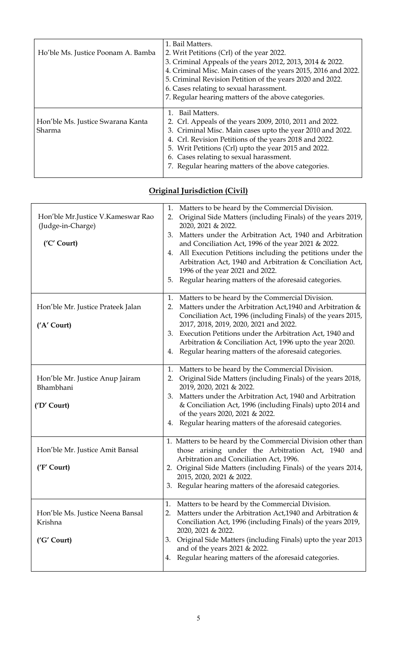| Ho'ble Ms. Justice Poonam A. Bamba          | 1. Bail Matters.<br>2. Writ Petitions (Crl) of the year 2022.<br>3. Criminal Appeals of the years 2012, 2013, 2014 & 2022.<br>4. Criminal Misc. Main cases of the years 2015, 2016 and 2022.<br>5. Criminal Revision Petition of the years 2020 and 2022.<br>6. Cases relating to sexual harassment.<br>7. Regular hearing matters of the above categories. |
|---------------------------------------------|-------------------------------------------------------------------------------------------------------------------------------------------------------------------------------------------------------------------------------------------------------------------------------------------------------------------------------------------------------------|
| Hon'ble Ms. Justice Swarana Kanta<br>Sharma | Bail Matters.<br>2. Crl. Appeals of the years 2009, 2010, 2011 and 2022.<br>3. Criminal Misc. Main cases upto the year 2010 and 2022.<br>4. Crl. Revision Petitions of the years 2018 and 2022.<br>5. Writ Petitions (Crl) upto the year 2015 and 2022.<br>6. Cases relating to sexual harassment.<br>7. Regular hearing matters of the above categories.   |

| Hon'ble Mr. Justice V. Kameswar Rao<br>(Judge-in-Charge)<br>('C' Court) | Matters to be heard by the Commercial Division.<br>1.<br>Original Side Matters (including Finals) of the years 2019,<br>2.<br>2020, 2021 & 2022.<br>Matters under the Arbitration Act, 1940 and Arbitration<br>3.<br>and Conciliation Act, 1996 of the year 2021 & 2022.<br>All Execution Petitions including the petitions under the<br>4.<br>Arbitration Act, 1940 and Arbitration & Conciliation Act,<br>1996 of the year 2021 and 2022.<br>Regular hearing matters of the aforesaid categories.<br>5. |
|-------------------------------------------------------------------------|-----------------------------------------------------------------------------------------------------------------------------------------------------------------------------------------------------------------------------------------------------------------------------------------------------------------------------------------------------------------------------------------------------------------------------------------------------------------------------------------------------------|
| Hon'ble Mr. Justice Prateek Jalan<br>('A' Court)                        | Matters to be heard by the Commercial Division.<br>1.<br>Matters under the Arbitration Act, 1940 and Arbitration &<br>2.<br>Conciliation Act, 1996 (including Finals) of the years 2015,<br>2017, 2018, 2019, 2020, 2021 and 2022.<br>Execution Petitions under the Arbitration Act, 1940 and<br>3.<br>Arbitration & Conciliation Act, 1996 upto the year 2020.<br>Regular hearing matters of the aforesaid categories.<br>4.                                                                             |
| Hon'ble Mr. Justice Anup Jairam<br>Bhambhani<br>('D' Court)             | Matters to be heard by the Commercial Division.<br>1.<br>Original Side Matters (including Finals) of the years 2018,<br>2.<br>2019, 2020, 2021 & 2022.<br>Matters under the Arbitration Act, 1940 and Arbitration<br>3.<br>& Conciliation Act, 1996 (including Finals) upto 2014 and<br>of the years 2020, 2021 & 2022.<br>4. Regular hearing matters of the aforesaid categories.                                                                                                                        |
| Hon'ble Mr. Justice Amit Bansal<br>('F' Court)                          | 1. Matters to be heard by the Commercial Division other than<br>those arising under the Arbitration Act, 1940 and<br>Arbitration and Conciliation Act, 1996.<br>2. Original Side Matters (including Finals) of the years 2014,<br>2015, 2020, 2021 & 2022.<br>Regular hearing matters of the aforesaid categories.                                                                                                                                                                                        |
| Hon'ble Ms. Justice Neena Bansal<br>Krishna<br>('G' Court)              | Matters to be heard by the Commercial Division.<br>1.<br>Matters under the Arbitration Act, 1940 and Arbitration &<br>2.<br>Conciliation Act, 1996 (including Finals) of the years 2019,<br>2020, 2021 & 2022.<br>Original Side Matters (including Finals) upto the year 2013<br>3.<br>and of the years 2021 & 2022.<br>Regular hearing matters of the aforesaid categories.<br>4.                                                                                                                        |

## **Original Jurisdiction (Civil)**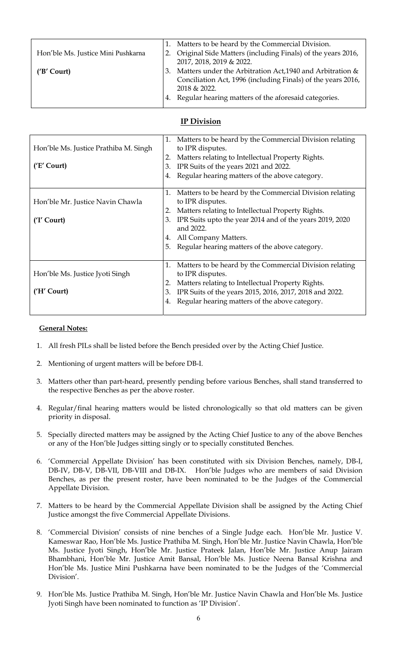| Hon'ble Ms. Justice Mini Pushkarna |          | Matters to be heard by the Commercial Division.<br>Original Side Matters (including Finals) of the years 2016,<br>2017, 2018, 2019 & 2022.                                                        |
|------------------------------------|----------|---------------------------------------------------------------------------------------------------------------------------------------------------------------------------------------------------|
| ('B' Court)                        | 3.<br>4. | Matters under the Arbitration Act, 1940 and Arbitration &<br>Conciliation Act, 1996 (including Finals) of the years 2016,<br>2018 & 2022.<br>Regular hearing matters of the aforesaid categories. |

#### **IP Division**

| Hon'ble Ms. Justice Prathiba M. Singh<br>('E' Court) | Matters to be heard by the Commercial Division relating<br>1.<br>to IPR disputes.<br>Matters relating to Intellectual Property Rights.<br>2.<br>IPR Suits of the years 2021 and 2022.<br>3.<br>Regular hearing matters of the above category.<br>4.                                                         |
|------------------------------------------------------|-------------------------------------------------------------------------------------------------------------------------------------------------------------------------------------------------------------------------------------------------------------------------------------------------------------|
| Hon'ble Mr. Justice Navin Chawla<br>('I' Court)      | Matters to be heard by the Commercial Division relating<br>1.<br>to IPR disputes.<br>Matters relating to Intellectual Property Rights.<br>IPR Suits upto the year 2014 and of the years 2019, 2020<br>3.<br>and 2022.<br>All Company Matters.<br>4.<br>Regular hearing matters of the above category.<br>5. |
| Hon'ble Ms. Justice Jyoti Singh<br>('H' Court)       | Matters to be heard by the Commercial Division relating<br>1.<br>to IPR disputes.<br>Matters relating to Intellectual Property Rights.<br>IPR Suits of the years 2015, 2016, 2017, 2018 and 2022.<br>3.<br>Regular hearing matters of the above category.<br>4.                                             |

#### **General Notes:**

- 1. All fresh PILs shall be listed before the Bench presided over by the Acting Chief Justice.
- 2. Mentioning of urgent matters will be before DB-I.
- 3. Matters other than part-heard, presently pending before various Benches, shall stand transferred to the respective Benches as per the above roster.
- 4. Regular/final hearing matters would be listed chronologically so that old matters can be given priority in disposal.
- 5. Specially directed matters may be assigned by the Acting Chief Justice to any of the above Benches or any of the Hon'ble Judges sitting singly or to specially constituted Benches.
- 6. 'Commercial Appellate Division' has been constituted with six Division Benches, namely, DB-I, DB-IV, DB-V, DB-VII, DB-VIII and DB-IX.Hon'ble Judges who are members of said Division Benches, as per the present roster, have been nominated to be the Judges of the Commercial Appellate Division.
- 7. Matters to be heard by the Commercial Appellate Division shall be assigned by the Acting Chief Justice amongst the five Commercial Appellate Divisions.
- 8. 'Commercial Division' consists of nine benches of a Single Judge each. Hon'ble Mr. Justice V. Kameswar Rao, Hon'ble Ms. Justice Prathiba M. Singh, Hon'ble Mr. Justice Navin Chawla, Hon'ble Ms. Justice Jyoti Singh, Hon'ble Mr. Justice Prateek Jalan, Hon'ble Mr. Justice Anup Jairam Bhambhani, Hon'ble Mr. Justice Amit Bansal, Hon'ble Ms. Justice Neena Bansal Krishna and Hon'ble Ms. Justice Mini Pushkarna have been nominated to be the Judges of the 'Commercial Division'.
- 9. Hon'ble Ms. Justice Prathiba M. Singh, Hon'ble Mr. Justice Navin Chawla and Hon'ble Ms. Justice Jyoti Singh have been nominated to function as 'IP Division'.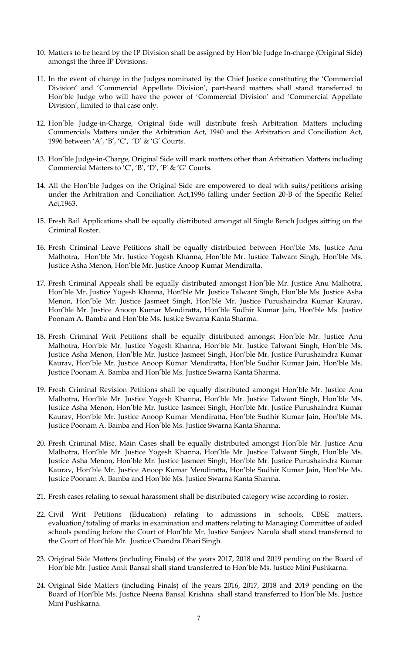- 10. Matters to be heard by the IP Division shall be assigned by Hon'ble Judge In-charge (Original Side) amongst the three IP Divisions.
- 11. In the event of change in the Judges nominated by the Chief Justice constituting the 'Commercial Division' and 'Commercial Appellate Division', part-heard matters shall stand transferred to Hon'ble Judge who will have the power of 'Commercial Division' and 'Commercial Appellate Division', limited to that case only.
- 12. Hon'ble Judge-in-Charge, Original Side will distribute fresh Arbitration Matters including Commercials Matters under the Arbitration Act, 1940 and the Arbitration and Conciliation Act, 1996 between 'A', 'B', 'C', 'D' & 'G' Courts.
- 13. Hon'ble Judge-in-Charge, Original Side will mark matters other than Arbitration Matters including Commercial Matters to 'C', 'B', 'D', 'F' & 'G' Courts.
- 14. All the Hon'ble Judges on the Original Side are empowered to deal with suits/petitions arising under the Arbitration and Conciliation Act,1996 falling under Section 20-B of the Specific Relief Act,1963.
- 15. Fresh Bail Applications shall be equally distributed amongst all Single Bench Judges sitting on the Criminal Roster.
- 16. Fresh Criminal Leave Petitions shall be equally distributed between Hon'ble Ms. Justice Anu Malhotra, Hon'ble Mr. Justice Yogesh Khanna, Hon'ble Mr. Justice Talwant Singh, Hon'ble Ms. Justice Asha Menon, Hon'ble Mr. Justice Anoop Kumar Mendiratta.
- 17. Fresh Criminal Appeals shall be equally distributed amongst Hon'ble Mr. Justice Anu Malhotra, Hon'ble Mr. Justice Yogesh Khanna, Hon'ble Mr. Justice Talwant Singh, Hon'ble Ms. Justice Asha Menon, Hon'ble Mr. Justice Jasmeet Singh, Hon'ble Mr. Justice Purushaindra Kumar Kaurav, Hon'ble Mr. Justice Anoop Kumar Mendiratta, Hon'ble Sudhir Kumar Jain, Hon'ble Ms. Justice Poonam A. Bamba and Hon'ble Ms. Justice Swarna Kanta Sharma.
- 18. Fresh Criminal Writ Petitions shall be equally distributed amongst Hon'ble Mr. Justice Anu Malhotra, Hon'ble Mr. Justice Yogesh Khanna, Hon'ble Mr. Justice Talwant Singh, Hon'ble Ms. Justice Asha Menon, Hon'ble Mr. Justice Jasmeet Singh, Hon'ble Mr. Justice Purushaindra Kumar Kaurav, Hon'ble Mr. Justice Anoop Kumar Mendiratta, Hon'ble Sudhir Kumar Jain, Hon'ble Ms. Justice Poonam A. Bamba and Hon'ble Ms. Justice Swarna Kanta Sharma.
- 19. Fresh Criminal Revision Petitions shall be equally distributed amongst Hon'ble Mr. Justice Anu Malhotra, Hon'ble Mr. Justice Yogesh Khanna, Hon'ble Mr. Justice Talwant Singh, Hon'ble Ms. Justice Asha Menon, Hon'ble Mr. Justice Jasmeet Singh, Hon'ble Mr. Justice Purushaindra Kumar Kaurav, Hon'ble Mr. Justice Anoop Kumar Mendiratta, Hon'ble Sudhir Kumar Jain, Hon'ble Ms. Justice Poonam A. Bamba and Hon'ble Ms. Justice Swarna Kanta Sharma.
- 20. Fresh Criminal Misc. Main Cases shall be equally distributed amongst Hon'ble Mr. Justice Anu Malhotra, Hon'ble Mr. Justice Yogesh Khanna, Hon'ble Mr. Justice Talwant Singh, Hon'ble Ms. Justice Asha Menon, Hon'ble Mr. Justice Jasmeet Singh, Hon'ble Mr. Justice Purushaindra Kumar Kaurav, Hon'ble Mr. Justice Anoop Kumar Mendiratta, Hon'ble Sudhir Kumar Jain, Hon'ble Ms. Justice Poonam A. Bamba and Hon'ble Ms. Justice Swarna Kanta Sharma.
- 21. Fresh cases relating to sexual harassment shall be distributed category wise according to roster.
- 22. Civil Writ Petitions (Education) relating to admissions in schools, CBSE matters, evaluation/totaling of marks in examination and matters relating to Managing Committee of aided schools pending before the Court of Hon'ble Mr. Justice Sanjeev Narula shall stand transferred to the Court of Hon'ble Mr. Justice Chandra Dhari Singh.
- 23. Original Side Matters (including Finals) of the years 2017, 2018 and 2019 pending on the Board of Hon'ble Mr. Justice Amit Bansal shall stand transferred to Hon'ble Ms. Justice Mini Pushkarna.
- 24. Original Side Matters (including Finals) of the years 2016, 2017, 2018 and 2019 pending on the Board of Hon'ble Ms. Justice Neena Bansal Krishna shall stand transferred to Hon'ble Ms. Justice Mini Pushkarna.